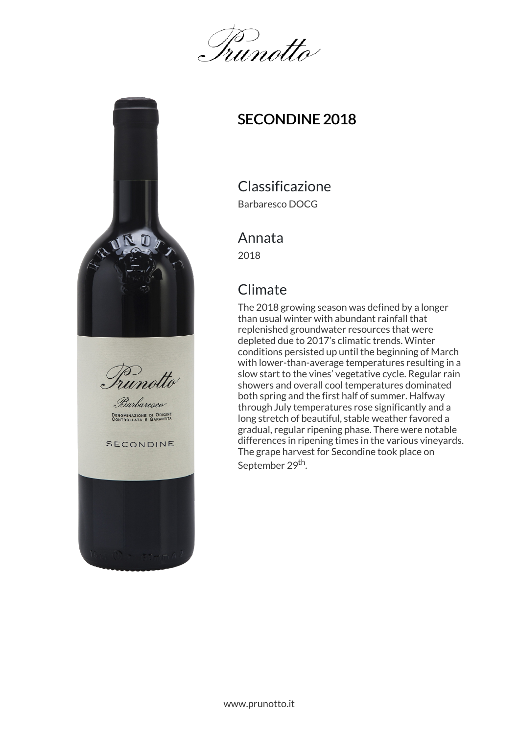Irunotto



## SECONDINE 2018

# Classificazione

Barbaresco DOCG

#### Annata

2018

### **Climate**

The 2018 growing season was defined by a longer than usual winter with abundant rainfall that replenished groundwater resources that were depleted due to 2017's climatic trends. Winter conditions persisted up until the beginning of March with lower-than-average temperatures resulting in a slow start to the vines' vegetative cycle. Regular rain showers and overall cool temperatures dominated both spring and the first half of summer. Halfway through July temperatures rose significantly and a long stretch of beautiful, stable weather favored a gradual, regular ripening phase. There were notable differences in ripening times in the various vineyards. The grape harvest for Secondine took place on September 29<sup>th</sup>.